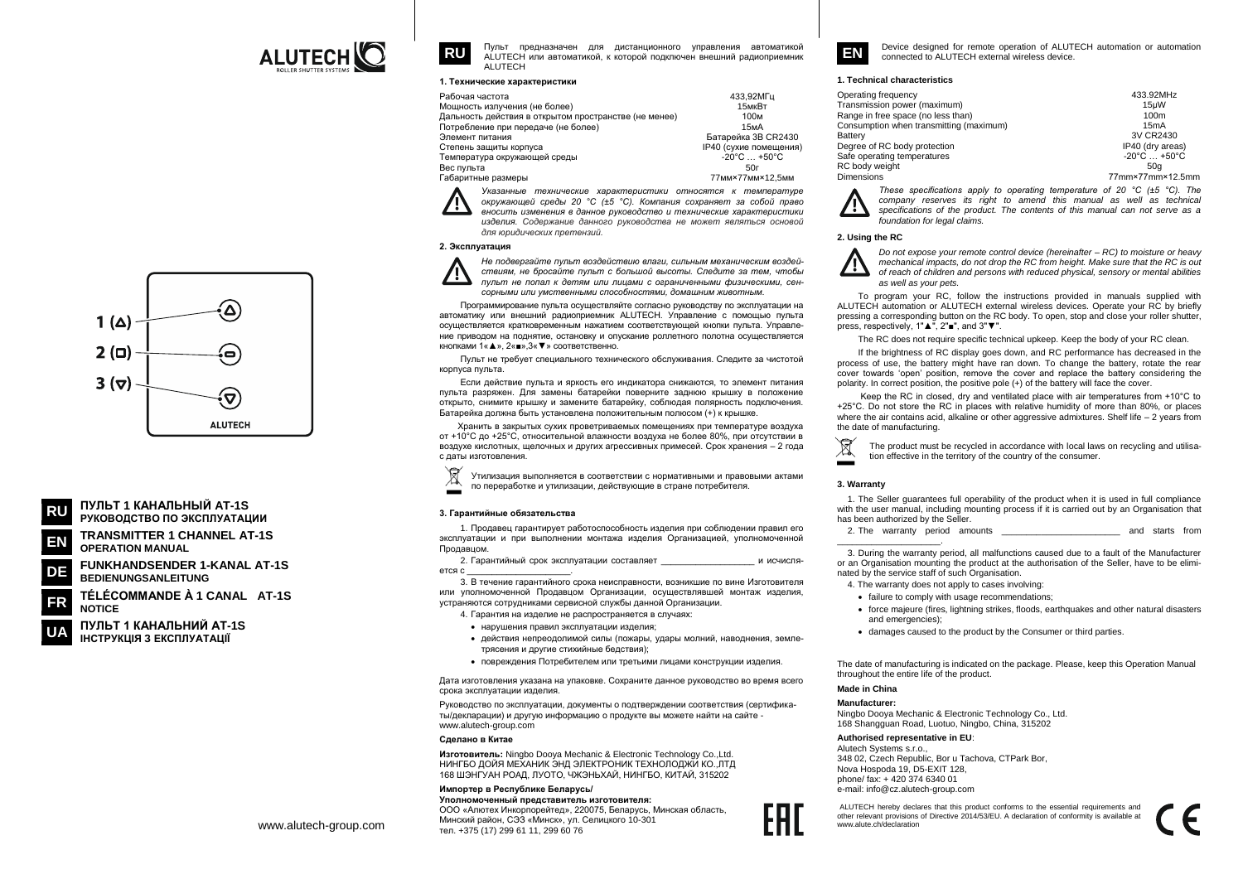

Пульт предназначен для дистанционного управления автоматикой АІ UTECH или автоматикой, к которой полключен внешний радиоприемник ALUTECH

## 1. Технические характеристики

| Рабочая частота                                       | 433.92MFu                       |
|-------------------------------------------------------|---------------------------------|
|                                                       |                                 |
| Мощность излучения (не более)                         | 15мкВт                          |
| Дальность действия в открытом пространстве (не менее) | 100м                            |
| Потребление при передаче (не более)                   | 15 <sub>M</sub> A               |
| Элемент питания                                       | Батарейка 3B CR2430             |
| Степень защиты корпуса                                | IP40 (сухие помещения)          |
| Температура окружающей среды                          | $-20^{\circ}$ C $+50^{\circ}$ C |
| Вес пульта                                            | 50г                             |
| Габаритные размеры                                    | 77MM×77MM×12.5MM                |
|                                                       |                                 |

Указанные технические характеристики относятся к температуре окружающей среды 20 °С (±5 °С). Компания сохраняет за собой право вносить изменения в данное руководство и технические характеристики изделия. Содержание данного руководства не может являться основой для юридических претензий.

## 2. Эксплуатация



**RU** 

Не подвергайте пульт воздействию влаги, сильным механическим воздействиям, не бросайте пульт с большой высоты. Следите за тем, чтобы пульт не попал к детям или лицами с ограниченными физическими, сенсорными или умственными способностями. домашним животным

Программирование пульта осуществляйте согласно руководству по эксплуатации на автоматику или внешний радиоприемник ALUTECH. Управление с помощью пульта осуществляется кратковременным нажатием соответствующей кнопки пульта. Управление приводом на поднятие, остановку и опускание роллетного полотна осуществляется кнопками 1« ▲ ». 2« ■ ».3« ▼ » соответственно

Пульт не требует специального технического обслуживания. Следите за чистотой корпуса пульта.

Если действие пульта и яркость его индикатора снижаются, то элемент питания пульта разряжен. Для замены батарейки поверните заднюю крышку в положение открыто, снимите крышку и замените батарейку, соблюдая полярность подключения. Батарейка должна быть установлена положительным полюсом (+) к крышке.

Хранить в закрытых сухих проветриваемых помещениях при температуре воздуха от +10°С до +25°С, относительной влажности воздуха не более 80%, при отсутствии в воздухе кислотных, шелочных и других агрессивных примесей. Срок хранения - 2 года с даты изготовления.



Утилизация выполняется в соответствии с нормативными и правовыми актами по переработке и утилизации, действующие в стране потребителя.

#### 3. Гарантийные обязательства

1. Продавец гарантирует работоспособность изделия при соблюдении правил его эксплуатации и при выполнении монтажа изделия Организацией, уполномоченной Продавцом

2. Гарантийный срок эксплуатации составляет и исчисля erca c

3. В течение гарантийного срока неисправности, возникшие по вине Изготовителя или уполномоченной Продавцом Организации, осуществлявшей монтаж изделия. устраняются сотрудниками сервисной службы данной Организации.

4. Гарантия на изделие не распространяется в случаях:

- нарушения правил эксплуатации изделия
- действия непреодолимой силы (пожары, удары молний, наводнения, землетрясения и другие стихийные бедствия);
- повреждения Потребителем или третьими лицами конструкции изделия.

Дата изготовления указана на упаковке. Сохраните данное руководство во время всего срока эксплуатации изделия

Руководство по эксплуатации, документы о подтверждении соответствия (сертификаты/декларации) и другую информацию о продукте вы можете найти на сайте www.alutech-group.com

## Changuo P Kutao

Изготовитель: Ningbo Dooya Mechanic & Electronic Technology Co., Ltd. НИНГБО ЛОЙЯ МЕХАНИК ЭНЛ ЭЛЕКТРОНИК ТЕХНОЛОЛЖИ КО. ЛТЛ 168 ШЭНГУАН РОАД, ЛУОТО, ЧЖЭНЬХАЙ, НИНГБО, КИТАЙ, 315202

# Импортер в Республике Беларусь/

Уполномоченный представитель изготовителя: ООО «Алютех Инкорпорейтед», 220075, Беларусь, Минская область, Минский район, СЭЗ «Минск», ул. Селицкого 10-301 тел. +375 (17) 299 61 11, 299 60 76



Device designed for remote operation of ALUTECH automation or automation connected to ALUTECH external wireless device

## 1. Technical characteristics

| Operating frequency                     | 433.92MHz                       |
|-----------------------------------------|---------------------------------|
| ransmission power (maximum)             | 15uW                            |
| ange in free space (no less than)       | 100m                            |
| Consumption when transmitting (maximum) | 15mA                            |
| <b>latterv</b>                          | 3V CR2430                       |
| eqree of RC body protection             | IP40 (dry areas)                |
| afe operating temperatures              | $-20^{\circ}$ C $+50^{\circ}$ C |
| C body weight                           | 50a                             |
| <b>Dimensions</b>                       | 77mmx77mmx125mm                 |

These specifications apply to operating temperature of 20  $^{\circ}$ C ( $\pm$ 5  $^{\circ}$ C). The company reserves its right to amend this manual as well as technical specifications of the product. The contents of this manual can not serve as a foundation for legal claims

## 2. Using the RC

Do not expose your remote control device (hereinafter – RC) to moisture or heavy mechanical impacts, do not drop the RC from height. Make sure that the RC is out of reach of children and persons with reduced physical, sensory or mental abilities as well as your pets.

To program your RC, follow the instructions provided in manuals supplied with ALUTECH automation or ALUTECH external wireless devices. Operate your RC by briefly pressing a corresponding button on the RC body. To open, stop and close your roller shutter. press, respectively, 1"▲", 2"■", and 3"▼".

The RC does not require specific technical upkeep. Keep the body of your RC clean.

If the brightness of RC display goes down, and RC performance has decreased in the process of use, the battery might have ran down. To change the battery, rotate the rear cover towards 'open' position, remove the cover and replace the battery considering the polarity. In correct position, the positive pole (+) of the battery will face the cover.

Keep the RC in closed, dry and ventilated place with air temperatures from +10°C to +25°C. Do not store the RC in places with relative humidity of more than 80%, or places where the air contains acid, alkaline or other aggressive admixtures. Shelf life  $-2$  years from the date of manufacturing.

The product must be recycled in accordance with local laws on recycling and utilisation effective in the territory of the country of the consumer.

## 3. Warranty

1. The Seller guarantees full operability of the product when it is used in full compliance with the user manual, including mounting process if it is carried out by an Organisation that has been authorized by the Seller.

2. The warranty period amounts and starts from

3. During the warranty period, all malfunctions caused due to a fault of the Manufacturer or an Organisation mounting the product at the authorisation of the Seller, have to be eliminated by the service staff of such Organisation.

- 4. The warranty does not apply to cases involving:
- failure to comply with usage recommendations:
- force majeure (fires, lightning strikes, floods, earthquakes and other natural disasters and emergencies);
- damages caused to the product by the Consumer or third parties.

The date of manufacturing is indicated on the package. Please, keep this Operation Manual throughout the entire life of the product.

# Made in China

## Manufacturer

Ningbo Dooya Mechanic & Electronic Technology Co., Ltd 168 Shangguan Road, Luotuo, Ningbo, China, 315202

## Authorised representative in EU:

Alutach Systems s r o 348 02. Czech Republic, Bor u Tachova, CTPark Bor. Nova Hospoda 19, D5-EXIT 128, phone/ fax: +420 374 6340 01 e-mail: info@cz.alutech-group.com

ALUTECH hereby declares that this product conforms to the essential requirements and other relevant provisions of Directive 2014/53/EU. A declaration of conformity is available at www.alute.ch/declaration



ПУЛЬТ 1 КАНАЛЬНЫЙ AT-1S РУКОВОДСТВО ПО ЭКСПЛУАТАЦИИ

**TRANSMITTER 1 CHANNEL AT-1S** FN **OPERATION MANUAL** 

**FUNKHANDSENDER 1-KANAL AT-1S** DE **BEDIENUNGSANLEITUNG** 

TÉLÉCOMMANDE À 1 CANAL AT-1S **NOTICE** 

ПУЛЬТ 1 КАНАЛЬНИЙ AT-1S ІНСТРУКЦІЯ З ЕКСПЛУАТАЦІЇ

www.alutech-group.com